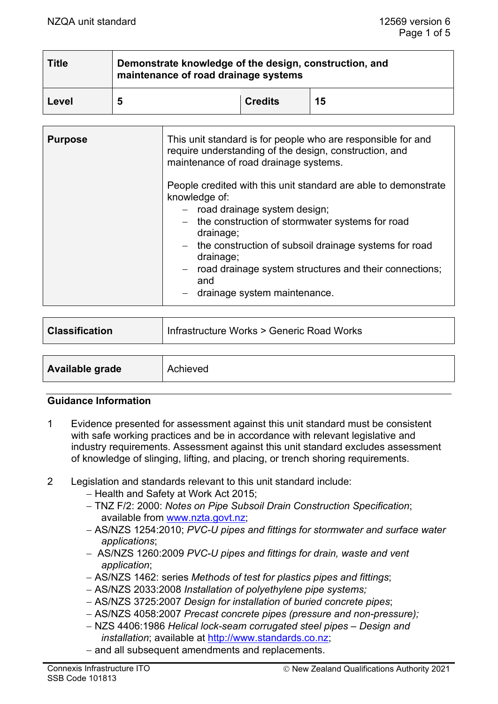| <b>Title</b> | Demonstrate knowledge of the design, construction, and<br>maintenance of road drainage systems |                |    |  |
|--------------|------------------------------------------------------------------------------------------------|----------------|----|--|
| Level        | 5                                                                                              | <b>Credits</b> | 15 |  |

| <b>Purpose</b> | This unit standard is for people who are responsible for and<br>require understanding of the design, construction, and<br>maintenance of road drainage systems.                                                                                                                                                                                                   |  |
|----------------|-------------------------------------------------------------------------------------------------------------------------------------------------------------------------------------------------------------------------------------------------------------------------------------------------------------------------------------------------------------------|--|
|                | People credited with this unit standard are able to demonstrate<br>knowledge of:<br>- road drainage system design;<br>- the construction of stormwater systems for road<br>drainage;<br>- the construction of subsoil drainage systems for road<br>drainage;<br>- road drainage system structures and their connections;<br>and<br>- drainage system maintenance. |  |

| <b>Classification</b> | Infrastructure Works > Generic Road Works |
|-----------------------|-------------------------------------------|
|                       |                                           |
| Available grade       | Achieved                                  |

## **Guidance Information**

- 1 Evidence presented for assessment against this unit standard must be consistent with safe working practices and be in accordance with relevant legislative and industry requirements. Assessment against this unit standard excludes assessment of knowledge of slinging, lifting, and placing, or trench shoring requirements.
- 2 Legislation and standards relevant to this unit standard include:
	- − Health and Safety at Work Act 2015;
	- − TNZ F/2: 2000: *Notes on Pipe Subsoil Drain Construction Specification*; available from [www.nzta.govt.nz;](http://www.nzta.govt.nz/)
	- − AS/NZS 1254:2010; *PVC-U pipes and fittings for stormwater and surface water applications*;
	- − AS/NZS 1260:2009 *PVC-U pipes and fittings for drain, waste and vent application*;
	- − AS/NZS 1462: series *Methods of test for plastics pipes and fittings*;
	- − AS/NZS 2033:2008 *Installation of polyethylene pipe systems;*
	- − AS/NZS 3725:2007 *Design for installation of buried concrete pipes*;
	- − AS/NZS 4058:2007 *Precast concrete pipes (pressure and non-pressure);*
	- − NZS 4406:1986 *Helical lock-seam corrugated steel pipes – Design and installation*; available at [http://www.standards.co.nz;](http://www.standards.co.nz/)
	- − and all subsequent amendments and replacements.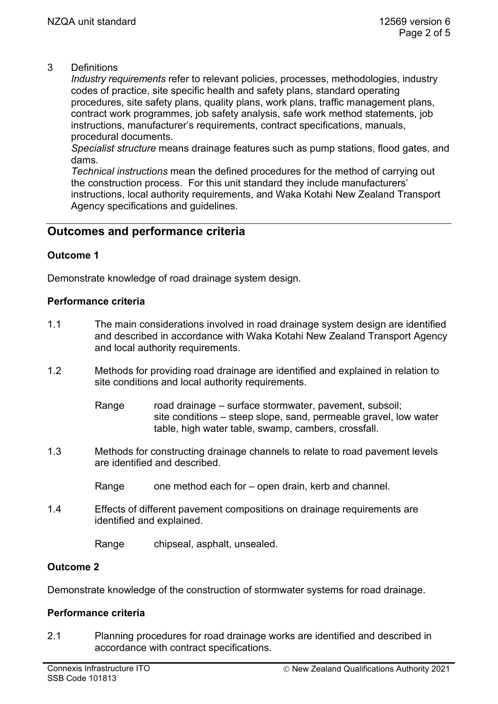## 3 Definitions

*Industry requirements* refer to relevant policies, processes, methodologies, industry codes of practice, site specific health and safety plans, standard operating procedures, site safety plans, quality plans, work plans, traffic management plans, contract work programmes, job safety analysis, safe work method statements, job instructions, manufacturer's requirements, contract specifications, manuals, procedural documents.

*Specialist structure* means drainage features such as pump stations, flood gates, and dams.

*Technical instructions* mean the defined procedures for the method of carrying out the construction process. For this unit standard they include manufacturers' instructions, local authority requirements, and Waka Kotahi New Zealand Transport Agency specifications and guidelines.

# **Outcomes and performance criteria**

## **Outcome 1**

Demonstrate knowledge of road drainage system design.

## **Performance criteria**

- 1.1 The main considerations involved in road drainage system design are identified and described in accordance with Waka Kotahi New Zealand Transport Agency and local authority requirements.
- 1.2 Methods for providing road drainage are identified and explained in relation to site conditions and local authority requirements.

Range road drainage – surface stormwater, pavement, subsoil; site conditions – steep slope, sand, permeable gravel, low water table, high water table, swamp, cambers, crossfall.

- 1.3 Methods for constructing drainage channels to relate to road pavement levels are identified and described.
	- Range one method each for open drain, kerb and channel.
- 1.4 Effects of different pavement compositions on drainage requirements are identified and explained.

Range chipseal, asphalt, unsealed.

## **Outcome 2**

Demonstrate knowledge of the construction of stormwater systems for road drainage.

## **Performance criteria**

2.1 Planning procedures for road drainage works are identified and described in accordance with contract specifications.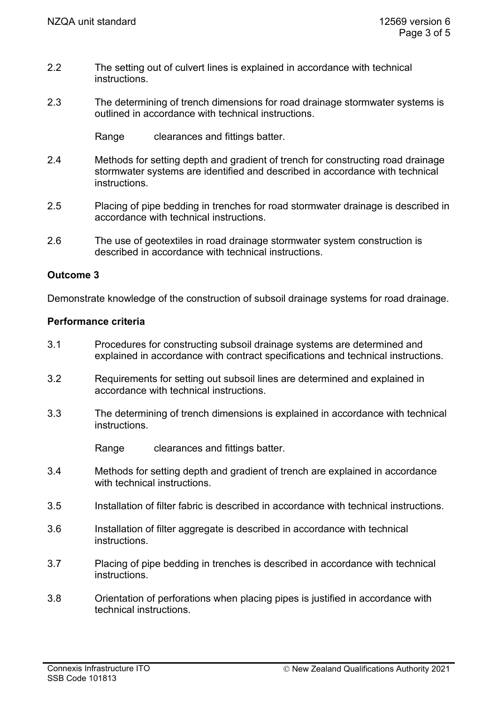- 2.2 The setting out of culvert lines is explained in accordance with technical instructions.
- 2.3 The determining of trench dimensions for road drainage stormwater systems is outlined in accordance with technical instructions.

Range clearances and fittings batter.

- 2.4 Methods for setting depth and gradient of trench for constructing road drainage stormwater systems are identified and described in accordance with technical instructions.
- 2.5 Placing of pipe bedding in trenches for road stormwater drainage is described in accordance with technical instructions.
- 2.6 The use of geotextiles in road drainage stormwater system construction is described in accordance with technical instructions.

## **Outcome 3**

Demonstrate knowledge of the construction of subsoil drainage systems for road drainage.

#### **Performance criteria**

- 3.1 Procedures for constructing subsoil drainage systems are determined and explained in accordance with contract specifications and technical instructions.
- 3.2 Requirements for setting out subsoil lines are determined and explained in accordance with technical instructions.
- 3.3 The determining of trench dimensions is explained in accordance with technical instructions.

Range clearances and fittings batter.

- 3.4 Methods for setting depth and gradient of trench are explained in accordance with technical instructions.
- 3.5 Installation of filter fabric is described in accordance with technical instructions.
- 3.6 Installation of filter aggregate is described in accordance with technical instructions.
- 3.7 Placing of pipe bedding in trenches is described in accordance with technical instructions.
- 3.8 Orientation of perforations when placing pipes is justified in accordance with technical instructions.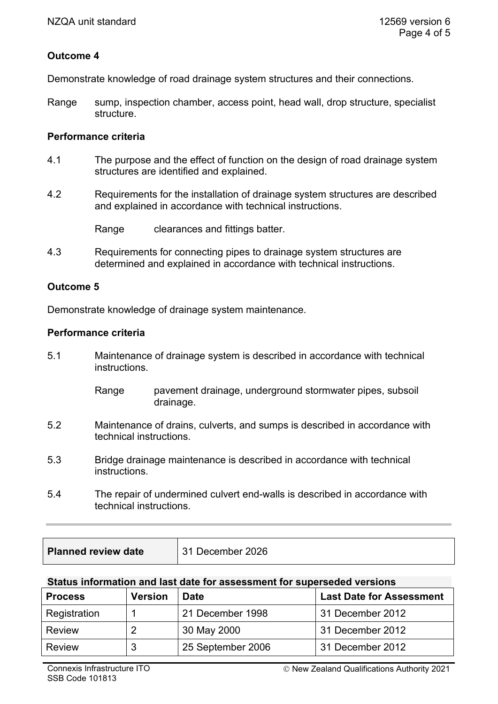## **Outcome 4**

Demonstrate knowledge of road drainage system structures and their connections.

Range sump, inspection chamber, access point, head wall, drop structure, specialist structure.

#### **Performance criteria**

- 4.1 The purpose and the effect of function on the design of road drainage system structures are identified and explained.
- 4.2 Requirements for the installation of drainage system structures are described and explained in accordance with technical instructions.

Range clearances and fittings batter.

4.3 Requirements for connecting pipes to drainage system structures are determined and explained in accordance with technical instructions.

## **Outcome 5**

Demonstrate knowledge of drainage system maintenance.

#### **Performance criteria**

5.1 Maintenance of drainage system is described in accordance with technical instructions.

> Range pavement drainage, underground stormwater pipes, subsoil drainage.

- 5.2 Maintenance of drains, culverts, and sumps is described in accordance with technical instructions.
- 5.3 Bridge drainage maintenance is described in accordance with technical instructions.
- 5.4 The repair of undermined culvert end-walls is described in accordance with technical instructions.

| <b>Planned review date</b> | 31 December 2026 |
|----------------------------|------------------|
|----------------------------|------------------|

## **Status information and last date for assessment for superseded versions**

| <b>Process</b> | <b>Version</b> | <b>Date</b>       | <b>Last Date for Assessment</b> |
|----------------|----------------|-------------------|---------------------------------|
| Registration   |                | 21 December 1998  | 31 December 2012                |
| Review         |                | 30 May 2000       | 31 December 2012                |
| <b>Review</b>  | 3              | 25 September 2006 | 31 December 2012                |